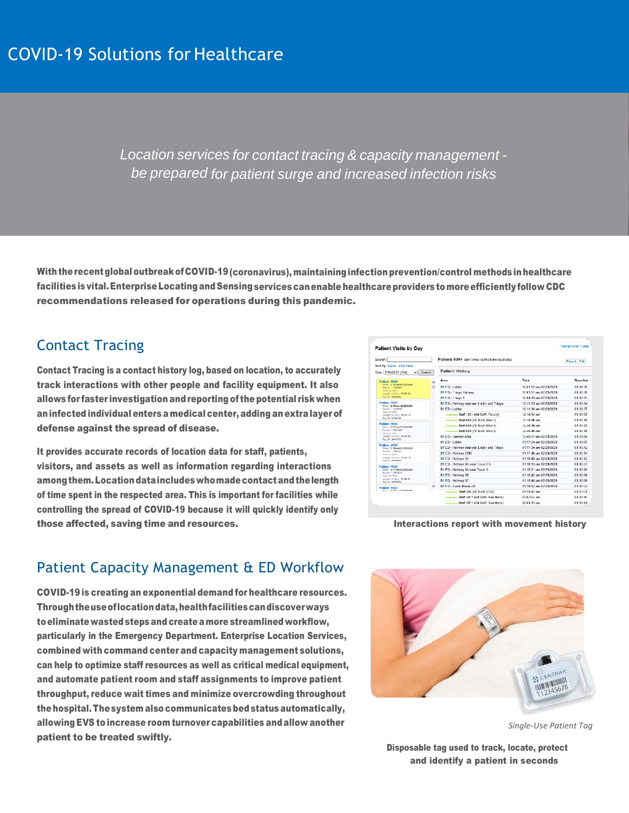*Location services for contact tracing & capacity management be prepared for patient surge and increased infection risks*

With the recent global outbreak of COVID-19 (coronavirus), maintaining infection prevention/control methods in healthcare facilities is vital. Enterprise Locating and Sensing services can enable healthcare providers to more efficiently follow CDC recommendations released for operations during this pandemic.

## Contact Tracing

Contact Tracing is a contact history log, based on location, to accurately track interactions with other people and facility equipment. It also allows for faster investigation and reporting of the potential risk when aninfected individual enters a medical center, adding an extralayer of defense against the spread of disease.

It provides accurate records of location data for staff, patients, visitors, and assets as well as information regarding interactions among them. Location data includes who made contact and the length of time spent in the respected area. This is important for facilities while controlling the spread of COVID-19 because it will quickly identify only those affected, saving time and resources.

| <b>Patient Visits by Dav</b>                                                                                                               |              |                                                |                        | <b>Patient Visit Graph</b> |          |
|--------------------------------------------------------------------------------------------------------------------------------------------|--------------|------------------------------------------------|------------------------|----------------------------|----------|
| Patient 4004 start Time: 12:01:51 am 02/28/2020<br>Search:                                                                                 |              |                                                |                        | <b>Export</b> Edit         |          |
| Sort By: Name Visit Time<br>Date: 2/28/2020 / 1361<br>$\check{ }$                                                                          | Search       | <b>Patient History</b>                         |                        |                            |          |
| <b>Patient 4004</b><br>Time: 12:01 am 02/20/2020<br>Acct #: 11895991<br><b>Door to Doct</b><br>Length of Stay, 04:20:40<br>Tan ID: 3435095 | ∼            | Area                                           | Time                   |                            | Duration |
|                                                                                                                                            |              | 81 ED - Lobby                                  | 12:01:52 am 02/28/2020 |                            | 00.01.59 |
|                                                                                                                                            |              | <b>R1 FD - Triage Hallway</b>                  | 12:03:51 am 02/28/2020 |                            | 00:00:28 |
|                                                                                                                                            |              | B1 ED - Triage 1                               | 12:04:19 am 02/28/2020 |                            | 00:07:05 |
| Patient 4005<br>Time: 12.03 am 02/28/2020<br>April #: 11450504<br>Door to Dec:<br>Length of Stay: 08:2015<br>Tan ID: 3656482               |              | B1 ED - Hallway between Lobby and Triage       | 12:11:25 am 02/28/2020 |                            | 00:00:04 |
|                                                                                                                                            |              | B1 ED - Lobby                                  | 12:11:30 am 02/28/2020 |                            | 00:36:57 |
|                                                                                                                                            |              | Interceion: Staff 1231 (All Staff, Faculty)    | 12:14:54 am            |                            | 00:00:09 |
|                                                                                                                                            |              | immerger Staff 616 (All Staff, Media)          | 12:16:06 am            |                            | 00.00:18 |
| Patient 4006<br>Time: 12:07 am 03:20:2020<br>April #: 11004007<br>Door to Doo:<br>Length of Stay: 02:30:00                                 |              | Internation: Staff 616 (All Staff, Modia)      | 12:39:36 am            |                            | 00:00:33 |
|                                                                                                                                            |              | Internation: Staff 618 (All Staff, Modia)      | 12:46:46 am            |                            | 00:00:18 |
|                                                                                                                                            |              | <b>B1 ED - Greater Area</b>                    | 12:48:27 am 02/28/2020 |                            | 00:28:56 |
| Tep ID: 3547422                                                                                                                            |              | B1 ED - Lebby                                  | 01:17:24 am 02/28/2020 |                            | 00:00:09 |
| Patient 4007<br>Time: 12:14 am 02/29/2020<br>Done #: 14084034<br><b>Dear to Dans</b><br>Length of Stay: 02:20:15<br>The R2 24/24/4001      |              | B1 ED - Hallway between Lobby and Triage       | 01:17:34 am 02/28/2020 |                            | 00:00:12 |
|                                                                                                                                            |              | 81 ED - Hallway EMS                            | 01:17:46 am 02/28/2020 |                            | 00:00:14 |
|                                                                                                                                            |              | 81 ED - Hallway 2A                             | 01:18:00 am 02/28/2020 |                            | 00:00:12 |
| Patient 4008<br>Time: 12:17 am 03/28/2020<br>Bost #: 11901621<br>Door to Door<br>Legath of Stay: 07:29:01<br>Tep ID: 3408353               |              | B1 ED - Hallway 3A near Team 2.5               | 01:18:13 am 02/28/2020 |                            | 00:00:07 |
|                                                                                                                                            |              | 81 ED - Hallway 3A near Team 3                 | 01:18:21 am 02/28/2020 |                            | 00:00:20 |
|                                                                                                                                            | $\checkmark$ | B1 ED - Hallway 3B                             | 01:18:42 am 02/28/2020 |                            | 00:00:06 |
|                                                                                                                                            |              | B1 ED - Hallway 3C                             | 01:18:48 am 02/28/2020 |                            | 00:00:06 |
| Patient 4009<br>Three- 45-50 year 03/39/2020                                                                                               |              | B1 ED - Exam Room 48                           | 01:18:54 am 02/28/2020 |                            | 03:00:32 |
|                                                                                                                                            |              | Internation: Staff 286 (All Staff, ESR)        | 01-19:42 am            |                            | 00:03:51 |
|                                                                                                                                            |              | Interceter: Staff 3911 (All Staff, Residents)  | 02:02:57 am            |                            | 00:00:45 |
|                                                                                                                                            |              | Internation: Staff 3911 (All Staff, Residents) | 82:04:12 am            |                            | 00:20:54 |

Interactions report with movement history

## Patient Capacity Management & ED Workflow

COVID-19 is creating an exponential demand for healthcare resources. Throughtheuseoflocationdata,healthfacilitiescandiscoverways toeliminatewastedstepsand createamore streamlined workflow, particularly in the Emergency Department. Enterprise Location Services, combined with command center and capacity management solutions, can help to optimize staff resources as well as critical medical equipment, and automate patient room and staff assignments to improve patient throughput, reduce wait times and minimize overcrowding throughout thehospital.Thesystem also communicates bedstatus automatically, allowing EVS to increase room turnover capabilities and allow another patient to be treated swiftly.



*Single-Use Patient Tag*

Disposable tag used to track, locate, protect and identify a patient in seconds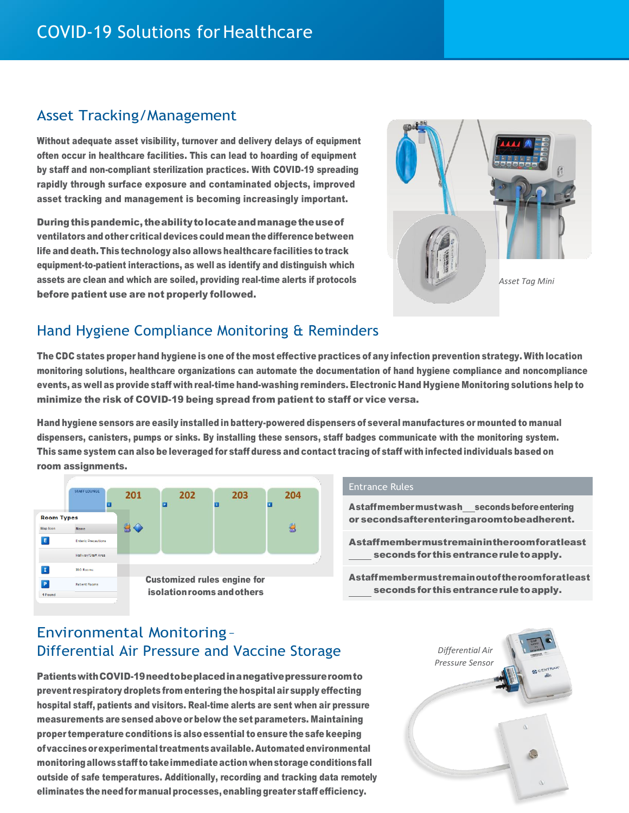## Asset Tracking/Management

Without adequate asset visibility, turnover and delivery delays of equipment often occur in healthcare facilities. This can lead to hoarding of equipment by staff and non-compliant sterilization practices. With COVID-19 spreading rapidly through surface exposure and contaminated objects, improved asset tracking and management is becoming increasingly important.

During this pandemic, the ability to locate and manage the use of ventilators and other critical devices could mean the differencebetween life and death. This technology also allows healthcare facilities to track equipment-to-patient interactions, as well as identify and distinguish which assets are clean and which are soiled, providing real-time alerts if protocols before patient use are not properly followed.



# Hand Hygiene Compliance Monitoring & Reminders

The CDC states proper hand hygiene is one of the most effective practices of any infection prevention strategy. With location monitoring solutions, healthcare organizations can automate the documentation of hand hygiene compliance and noncompliance events, as well as provide staff with real-time hand-washing reminders. Electronic Hand Hygiene Monitoring solutions help to minimize the risk of COVID-19 being spread from patient to staff or vice versa.

Hand hygiene sensors are easily installed in battery-powered dispensers of several manufactures or mounted to manual dispensers, canisters, pumps or sinks. By installing these sensors, staff badges communicate with the monitoring system. This same system can also be leveraged for staff duress and contact tracing of staff with infected individuals based on room assignments.



### Entrance Rules

Astaffmembermustwash secondsbeforeentering or secondsafterenteringaroomtobeadherent.

Astaffmembermustremainintheroomforatleast secondsfor thisentranceruletoapply.

Astaffmembermustremainoutoftheroomforatleast secondsfor thisentranceruletoapply.

# Environmental Monitoring – Differential Air Pressure and Vaccine Storage

PatientswithCOVID-19needtobeplacedinanegativepressureroomto prevent respiratory droplets from entering the hospital air supply effecting hospital staff, patients and visitors. Real-time alerts are sent when air pressure measurements are sensed above or below the set parameters. Maintaining proper temperature conditions is also essential to ensure the safe keeping ofvaccinesorexperimental treatmentsavailable.Automatedenvironmental monitoringallowsstaff totakeimmediateactionwhenstorageconditionsfall outside of safe temperatures. Additionally, recording and tracking data remotely eliminates the needfor manual processes,enablinggreater staff efficiency.